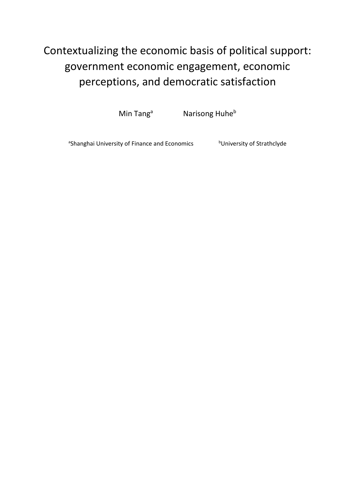# Contextualizing the economic basis of political support: government economic engagement, economic perceptions, and democratic satisfaction

Min Tang<sup>a</sup> Narisong Huhe<sup>b</sup>

<sup>a</sup>Shanghai University of Finance and Economics buniversity of Strathclyde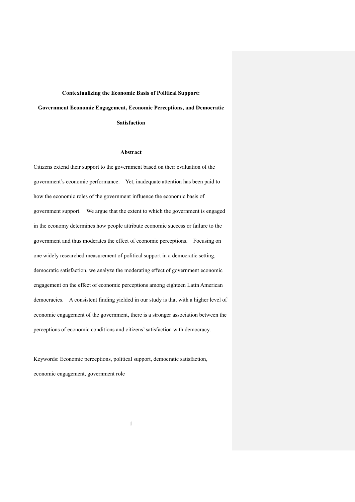#### **Contextualizing the Economic Basis of Political Support:**

**Government Economic Engagement, Economic Perceptions, and Democratic** 

**Satisfaction**

#### **Abstract**

Citizens extend their support to the government based on their evaluation of the government's economic performance. Yet, inadequate attention has been paid to how the economic roles of the government influence the economic basis of government support. We argue that the extent to which the government is engaged in the economy determines how people attribute economic success or failure to the government and thus moderates the effect of economic perceptions. Focusing on one widely researched measurement of political support in a democratic setting, democratic satisfaction, we analyze the moderating effect of government economic engagement on the effect of economic perceptions among eighteen Latin American democracies. A consistent finding yielded in our study is that with a higher level of economic engagement of the government, there is a stronger association between the perceptions of economic conditions and citizens' satisfaction with democracy.

Keywords: Economic perceptions, political support, democratic satisfaction, economic engagement, government role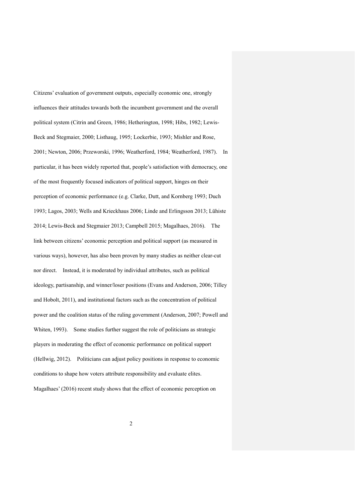Citizens' evaluation of government outputs, especially economic one, strongly influences their attitudes towards both the incumbent government and the overall political system (Citrin and Green, 1986; Hetherington, 1998; Hibs, 1982; Lewis-Beck and Stegmaier, 2000; Listhaug, 1995; Lockerbie, 1993; Mishler and Rose, 2001; Newton, 2006; Przeworski, 1996; Weatherford, 1984; Weatherford, 1987). In particular, it has been widely reported that, people's satisfaction with democracy, one of the most frequently focused indicators of political support, hinges on their perception of economic performance (e.g. Clarke, Dutt, and Kornberg 1993; Duch 1993; Lagos, 2003; Wells and Krieckhaus 2006; Linde and Erlingsson 2013; Lühiste 2014; Lewis-Beck and Stegmaier 2013; Campbell 2015; Magalhaes, 2016). The link between citizens' economic perception and political support (as measured in various ways), however, has also been proven by many studies as neither clear-cut nor direct. Instead, it is moderated by individual attributes, such as political ideology, partisanship, and winner/loser positions (Evans and Anderson, 2006; Tilley and Hobolt, 2011), and institutional factors such as the concentration of political power and the coalition status of the ruling government (Anderson, 2007; Powell and Whiten, 1993). Some studies further suggest the role of politicians as strategic players in moderating the effect of economic performance on political support (Hellwig, 2012). Politicians can adjust policy positions in response to economic conditions to shape how voters attribute responsibility and evaluate elites. Magalhaes' (2016) recent study shows that the effect of economic perception on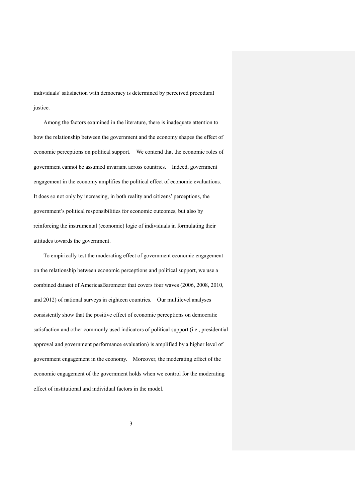individuals' satisfaction with democracy is determined by perceived procedural justice.

Among the factors examined in the literature, there is inadequate attention to how the relationship between the government and the economy shapes the effect of economic perceptions on political support. We contend that the economic roles of government cannot be assumed invariant across countries. Indeed, government engagement in the economy amplifies the political effect of economic evaluations. It does so not only by increasing, in both reality and citizens' perceptions, the government's political responsibilities for economic outcomes, but also by reinforcing the instrumental (economic) logic of individuals in formulating their attitudes towards the government.

To empirically test the moderating effect of government economic engagement on the relationship between economic perceptions and political support, we use a combined dataset of AmericasBarometer that covers four waves (2006, 2008, 2010, and 2012) of national surveys in eighteen countries. Our multilevel analyses consistently show that the positive effect of economic perceptions on democratic satisfaction and other commonly used indicators of political support (i.e., presidential approval and government performance evaluation) is amplified by a higher level of government engagement in the economy. Moreover, the moderating effect of the economic engagement of the government holds when we control for the moderating effect of institutional and individual factors in the model.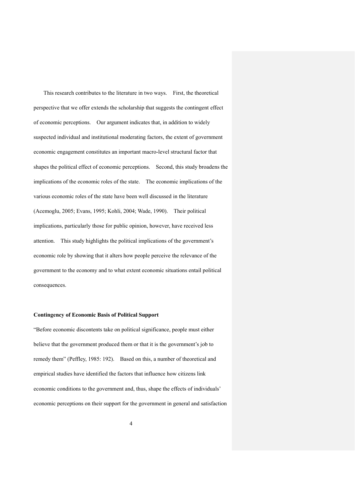This research contributes to the literature in two ways. First, the theoretical perspective that we offer extends the scholarship that suggests the contingent effect of economic perceptions. Our argument indicates that, in addition to widely suspected individual and institutional moderating factors, the extent of government economic engagement constitutes an important macro-level structural factor that shapes the political effect of economic perceptions. Second, this study broadens the implications of the economic roles of the state. The economic implications of the various economic roles of the state have been well discussed in the literature (Acemoglu, 2005; Evans, 1995; Kohli, 2004; Wade, 1990). Their political implications, particularly those for public opinion, however, have received less attention. This study highlights the political implications of the government's economic role by showing that it alters how people perceive the relevance of the government to the economy and to what extent economic situations entail political consequences.

#### **Contingency of Economic Basis of Political Support**

"Before economic discontents take on political significance, people must either believe that the government produced them or that it is the government's job to remedy them" (Peffley, 1985: 192). Based on this, a number of theoretical and empirical studies have identified the factors that influence how citizens link economic conditions to the government and, thus, shape the effects of individuals' economic perceptions on their support for the government in general and satisfaction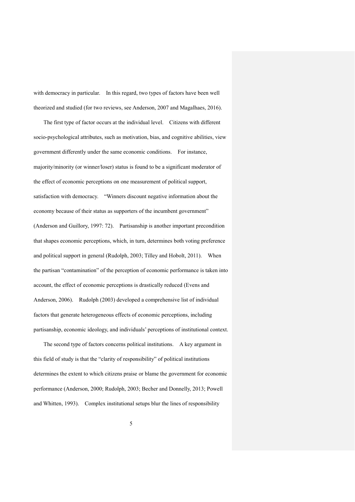with democracy in particular. In this regard, two types of factors have been well theorized and studied (for two reviews, see Anderson, 2007 and Magalhaes, 2016).

The first type of factor occurs at the individual level. Citizens with different socio-psychological attributes, such as motivation, bias, and cognitive abilities, view government differently under the same economic conditions. For instance, majority/minority (or winner/loser) status is found to be a significant moderator of the effect of economic perceptions on one measurement of political support, satisfaction with democracy. "Winners discount negative information about the economy because of their status as supporters of the incumbent government" (Anderson and Guillory, 1997: 72). Partisanship is another important precondition that shapes economic perceptions, which, in turn, determines both voting preference and political support in general (Rudolph, 2003; Tilley and Hobolt, 2011). When the partisan "contamination" of the perception of economic performance is taken into account, the effect of economic perceptions is drastically reduced (Evens and Anderson, 2006). Rudolph (2003) developed a comprehensive list of individual factors that generate heterogeneous effects of economic perceptions, including partisanship, economic ideology, and individuals' perceptions of institutional context.

The second type of factors concerns political institutions. A key argument in this field of study is that the "clarity of responsibility" of political institutions determines the extent to which citizens praise or blame the government for economic performance (Anderson, 2000; Rudolph, 2003; Becher and Donnelly, 2013; Powell and Whitten, 1993). Complex institutional setups blur the lines of responsibility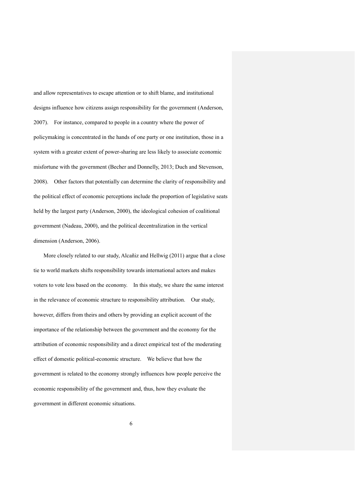and allow representatives to escape attention or to shift blame, and institutional designs influence how citizens assign responsibility for the government (Anderson, 2007). For instance, compared to people in a country where the power of policymaking is concentrated in the hands of one party or one institution, those in a system with a greater extent of power-sharing are less likely to associate economic misfortune with the government (Becher and Donnelly, 2013; Duch and Stevenson, 2008). Other factors that potentially can determine the clarity of responsibility and the political effect of economic perceptions include the proportion of legislative seats held by the largest party (Anderson, 2000), the ideological cohesion of coalitional government (Nadeau, 2000), and the political decentralization in the vertical dimension (Anderson, 2006).

More closely related to our study, Alcañiz and Hellwig (2011) argue that a close tie to world markets shifts responsibility towards international actors and makes voters to vote less based on the economy. In this study, we share the same interest in the relevance of economic structure to responsibility attribution. Our study, however, differs from theirs and others by providing an explicit account of the importance of the relationship between the government and the economy for the attribution of economic responsibility and a direct empirical test of the moderating effect of domestic political-economic structure. We believe that how the government is related to the economy strongly influences how people perceive the economic responsibility of the government and, thus, how they evaluate the government in different economic situations.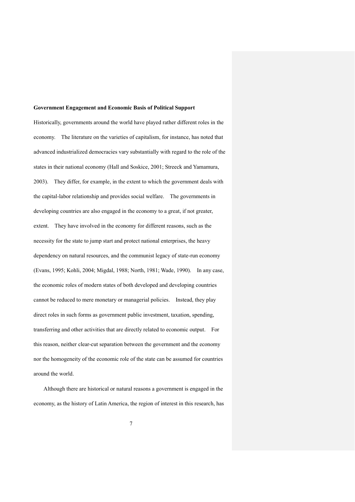#### **Government Engagement and Economic Basis of Political Support**

Historically, governments around the world have played rather different roles in the economy. The literature on the varieties of capitalism, for instance, has noted that advanced industrialized democracies vary substantially with regard to the role of the states in their national economy (Hall and Soskice, 2001; Streeck and Yamamura, 2003). They differ, for example, in the extent to which the government deals with the capital-labor relationship and provides social welfare. The governments in developing countries are also engaged in the economy to a great, if not greater, extent. They have involved in the economy for different reasons, such as the necessity for the state to jump start and protect national enterprises, the heavy dependency on natural resources, and the communist legacy of state-run economy (Evans, 1995; Kohli, 2004; Migdal, 1988; North, 1981; Wade, 1990). In any case, the economic roles of modern states of both developed and developing countries cannot be reduced to mere monetary or managerial policies. Instead, they play direct roles in such forms as government public investment, taxation, spending, transferring and other activities that are directly related to economic output. For this reason, neither clear-cut separation between the government and the economy nor the homogeneity of the economic role of the state can be assumed for countries around the world.

Although there are historical or natural reasons a government is engaged in the economy, as the history of Latin America, the region of interest in this research, has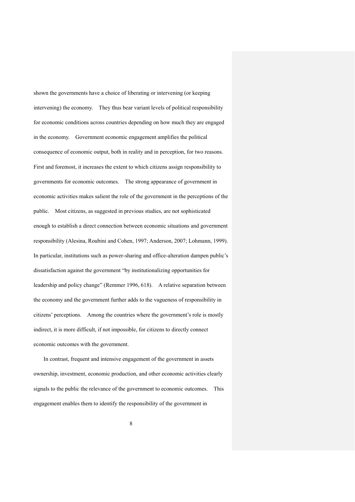shown the governments have a choice of liberating or intervening (or keeping intervening) the economy. They thus bear variant levels of political responsibility for economic conditions across countries depending on how much they are engaged in the economy. Government economic engagement amplifies the political consequence of economic output, both in reality and in perception, for two reasons. First and foremost, it increases the extent to which citizens assign responsibility to governments for economic outcomes. The strong appearance of government in economic activities makes salient the role of the government in the perceptions of the public. Most citizens, as suggested in previous studies, are not sophisticated enough to establish a direct connection between economic situations and government responsibility (Alesina, Roubini and Cohen, 1997; Anderson, 2007; Lohmann, 1999). In particular, institutions such as power-sharing and office-alteration dampen public's dissatisfaction against the government "by institutionalizing opportunities for leadership and policy change" (Remmer 1996, 618). A relative separation between the economy and the government further adds to the vagueness of responsibility in citizens' perceptions. Among the countries where the government's role is mostly indirect, it is more difficult, if not impossible, for citizens to directly connect economic outcomes with the government.

In contrast, frequent and intensive engagement of the government in assets ownership, investment, economic production, and other economic activities clearly signals to the public the relevance of the government to economic outcomes. This engagement enables them to identify the responsibility of the government in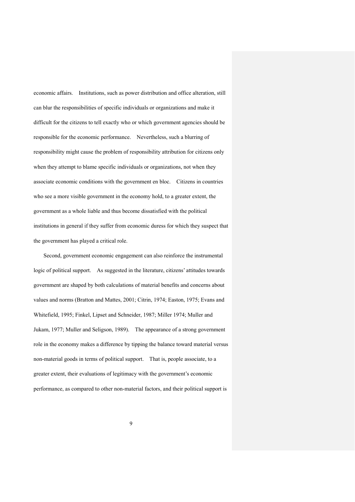economic affairs. Institutions, such as power distribution and office alteration, still can blur the responsibilities of specific individuals or organizations and make it difficult for the citizens to tell exactly who or which government agencies should be responsible for the economic performance. Nevertheless, such a blurring of responsibility might cause the problem of responsibility attribution for citizens only when they attempt to blame specific individuals or organizations, not when they associate economic conditions with the government en bloc. Citizens in countries who see a more visible government in the economy hold, to a greater extent, the government as a whole liable and thus become dissatisfied with the political institutions in general if they suffer from economic duress for which they suspect that the government has played a critical role.

Second, government economic engagement can also reinforce the instrumental logic of political support. As suggested in the literature, citizens' attitudes towards government are shaped by both calculations of material benefits and concerns about values and norms (Bratton and Mattes, 2001; Citrin, 1974; Easton, 1975; Evans and Whitefield, 1995; Finkel, Lipset and Schneider, 1987; Miller 1974; Muller and Jukam, 1977; Muller and Seligson, 1989). The appearance of a strong government role in the economy makes a difference by tipping the balance toward material versus non-material goods in terms of political support. That is, people associate, to a greater extent, their evaluations of legitimacy with the government's economic performance, as compared to other non-material factors, and their political support is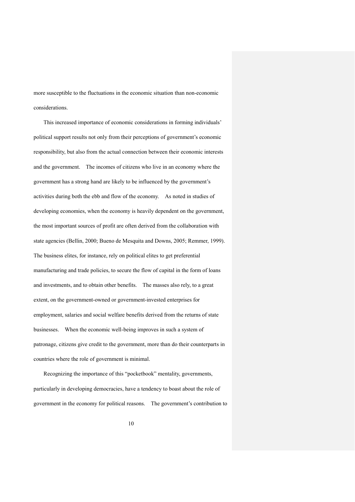more susceptible to the fluctuations in the economic situation than non-economic considerations.

This increased importance of economic considerations in forming individuals' political support results not only from their perceptions of government's economic responsibility, but also from the actual connection between their economic interests and the government. The incomes of citizens who live in an economy where the government has a strong hand are likely to be influenced by the government's activities during both the ebb and flow of the economy. As noted in studies of developing economies, when the economy is heavily dependent on the government, the most important sources of profit are often derived from the collaboration with state agencies (Bellin, 2000; Bueno de Mesquita and Downs, 2005; Remmer, 1999). The business elites, for instance, rely on political elites to get preferential manufacturing and trade policies, to secure the flow of capital in the form of loans and investments, and to obtain other benefits. The masses also rely, to a great extent, on the government-owned or government-invested enterprises for employment, salaries and social welfare benefits derived from the returns of state businesses. When the economic well-being improves in such a system of patronage, citizens give credit to the government, more than do their counterparts in countries where the role of government is minimal.

Recognizing the importance of this "pocketbook" mentality, governments, particularly in developing democracies, have a tendency to boast about the role of government in the economy for political reasons. The government's contribution to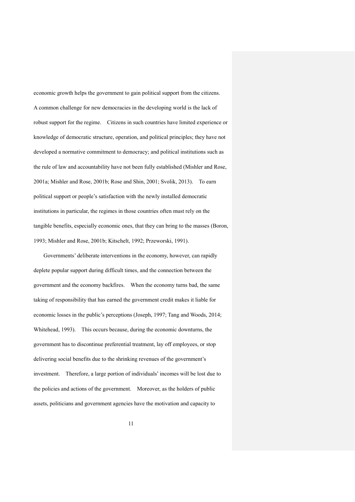economic growth helps the government to gain political support from the citizens. A common challenge for new democracies in the developing world is the lack of robust support for the regime. Citizens in such countries have limited experience or knowledge of democratic structure, operation, and political principles; they have not developed a normative commitment to democracy; and political institutions such as the rule of law and accountability have not been fully established (Mishler and Rose, 2001a; Mishler and Rose, 2001b; Rose and Shin, 2001; Svolik, 2013). To earn political support or people's satisfaction with the newly installed democratic institutions in particular, the regimes in those countries often must rely on the tangible benefits, especially economic ones, that they can bring to the masses (Boron, 1993; Mishler and Rose, 2001b; Kitschelt, 1992; Przeworski, 1991).

Governments' deliberate interventions in the economy, however, can rapidly deplete popular support during difficult times, and the connection between the government and the economy backfires. When the economy turns bad, the same taking of responsibility that has earned the government credit makes it liable for economic losses in the public's perceptions (Joseph, 1997; Tang and Woods, 2014; Whitehead, 1993). This occurs because, during the economic downturns, the government has to discontinue preferential treatment, lay off employees, or stop delivering social benefits due to the shrinking revenues of the government's investment. Therefore, a large portion of individuals' incomes will be lost due to the policies and actions of the government. Moreover, as the holders of public assets, politicians and government agencies have the motivation and capacity to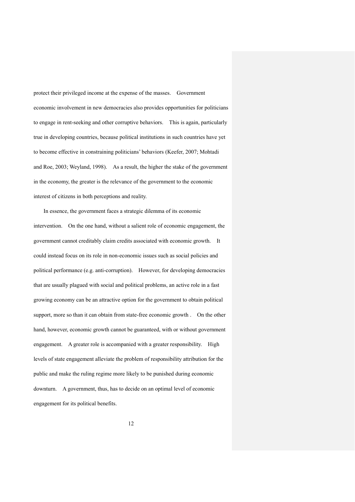protect their privileged income at the expense of the masses. Government economic involvement in new democracies also provides opportunities for politicians to engage in rent-seeking and other corruptive behaviors. This is again, particularly true in developing countries, because political institutions in such countries have yet to become effective in constraining politicians' behaviors (Keefer, 2007; Mohtadi and Roe, 2003; Weyland, 1998). As a result, the higher the stake of the government in the economy, the greater is the relevance of the government to the economic interest of citizens in both perceptions and reality.

In essence, the government faces a strategic dilemma of its economic intervention. On the one hand, without a salient role of economic engagement, the government cannot creditably claim credits associated with economic growth. It could instead focus on its role in non-economic issues such as social policies and political performance (e.g. anti-corruption). However, for developing democracies that are usually plagued with social and political problems, an active role in a fast growing economy can be an attractive option for the government to obtain political support, more so than it can obtain from state-free economic growth . On the other hand, however, economic growth cannot be guaranteed, with or without government engagement. A greater role is accompanied with a greater responsibility. High levels of state engagement alleviate the problem of responsibility attribution for the public and make the ruling regime more likely to be punished during economic downturn. A government, thus, has to decide on an optimal level of economic engagement for its political benefits.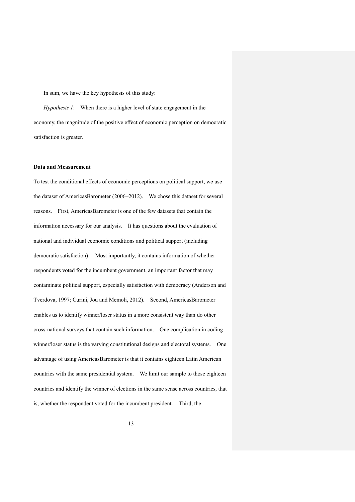In sum, we have the key hypothesis of this study:

*Hypothesis 1*: When there is a higher level of state engagement in the economy, the magnitude of the positive effect of economic perception on democratic satisfaction is greater.

## **Data and Measurement**

To test the conditional effects of economic perceptions on political support, we use the dataset of AmericasBarometer (2006–2012). We chose this dataset for several reasons. First, AmericasBarometer is one of the few datasets that contain the information necessary for our analysis. It has questions about the evaluation of national and individual economic conditions and political support (including democratic satisfaction). Most importantly, it contains information of whether respondents voted for the incumbent government, an important factor that may contaminate political support, especially satisfaction with democracy (Anderson and Tverdova, 1997; Curini, Jou and Memoli, 2012). Second, AmericasBarometer enables us to identify winner/loser status in a more consistent way than do other cross-national surveys that contain such information. One complication in coding winner/loser status is the varying constitutional designs and electoral systems. One advantage of using AmericasBarometer is that it contains eighteen Latin American countries with the same presidential system. We limit our sample to those eighteen countries and identify the winner of elections in the same sense across countries, that is, whether the respondent voted for the incumbent president. Third, the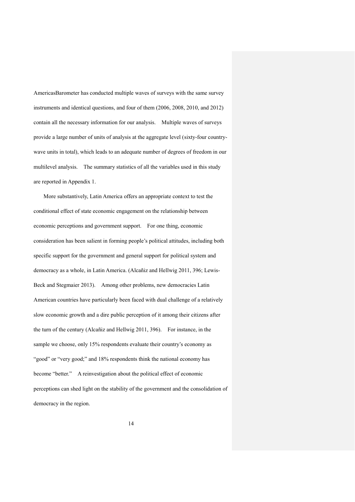AmericasBarometer has conducted multiple waves of surveys with the same survey instruments and identical questions, and four of them (2006, 2008, 2010, and 2012) contain all the necessary information for our analysis. Multiple waves of surveys provide a large number of units of analysis at the aggregate level (sixty-four countrywave units in total), which leads to an adequate number of degrees of freedom in our multilevel analysis. The summary statistics of all the variables used in this study are reported in Appendix 1.

More substantively, Latin America offers an appropriate context to test the conditional effect of state economic engagement on the relationship between economic perceptions and government support. For one thing, economic consideration has been salient in forming people's political attitudes, including both specific support for the government and general support for political system and democracy as a whole, in Latin America. (Alcañiz and Hellwig 2011, 396; Lewis-Beck and Stegmaier 2013). Among other problems, new democracies Latin American countries have particularly been faced with dual challenge of a relatively slow economic growth and a dire public perception of it among their citizens after the turn of the century (Alcañiz and Hellwig 2011, 396). For instance, in the sample we choose, only 15% respondents evaluate their country's economy as "good" or "very good;" and 18% respondents think the national economy has become "better." A reinvestigation about the political effect of economic perceptions can shed light on the stability of the government and the consolidation of democracy in the region.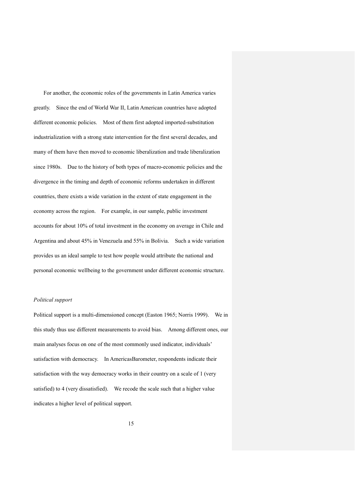For another, the economic roles of the governments in Latin America varies greatly. Since the end of World War II, Latin American countries have adopted different economic policies. Most of them first adopted imported-substitution industrialization with a strong state intervention for the first several decades, and many of them have then moved to economic liberalization and trade liberalization since 1980s. Due to the history of both types of macro-economic policies and the divergence in the timing and depth of economic reforms undertaken in different countries, there exists a wide variation in the extent of state engagement in the economy across the region. For example, in our sample, public investment accounts for about 10% of total investment in the economy on average in Chile and Argentina and about 45% in Venezuela and 55% in Bolivia. Such a wide variation provides us an ideal sample to test how people would attribute the national and personal economic wellbeing to the government under different economic structure.

#### *Political support*

Political support is a multi-dimensioned concept (Easton 1965; Norris 1999). We in this study thus use different measurements to avoid bias. Among different ones, our main analyses focus on one of the most commonly used indicator, individuals' satisfaction with democracy. In AmericasBarometer, respondents indicate their satisfaction with the way democracy works in their country on a scale of 1 (very satisfied) to 4 (very dissatisfied). We recode the scale such that a higher value indicates a higher level of political support.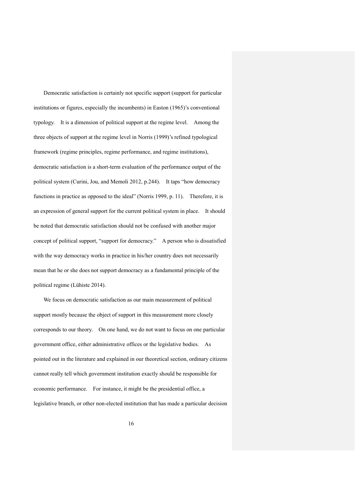Democratic satisfaction is certainly not specific support (support for particular institutions or figures, especially the incumbents) in Easton (1965)'s conventional typology. It is a dimension of political support at the regime level. Among the three objects of support at the regime level in Norris (1999)'s refined typological framework (regime principles, regime performance, and regime institutions), democratic satisfaction is a short-term evaluation of the performance output of the political system (Curini, Jou, and Memoli 2012, p.244). It taps "how democracy functions in practice as opposed to the ideal" (Norris 1999, p. 11). Therefore, it is an expression of general support for the current political system in place. It should be noted that democratic satisfaction should not be confused with another major concept of political support, "support for democracy." A person who is dissatisfied with the way democracy works in practice in his/her country does not necessarily mean that he or she does not support democracy as a fundamental principle of the political regime (Lühiste 2014).

We focus on democratic satisfaction as our main measurement of political support mostly because the object of support in this measurement more closely corresponds to our theory. On one hand, we do not want to focus on one particular government office, either administrative offices or the legislative bodies. As pointed out in the literature and explained in our theoretical section, ordinary citizens cannot really tell which government institution exactly should be responsible for economic performance. For instance, it might be the presidential office, a legislative branch, or other non-elected institution that has made a particular decision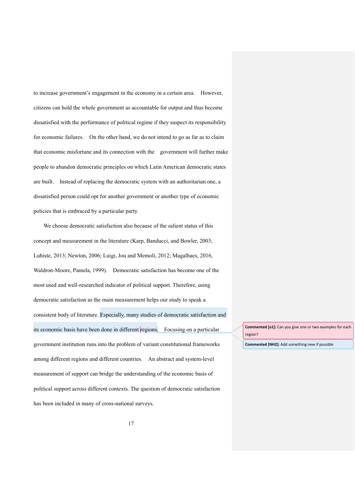to increase government's engagement in the economy in a certain area. However, citizens can hold the whole government as accountable for output and thus become dissatisfied with the performance of political regime if they suspect its responsibility for economic failures. On the other hand, we do not intend to go as far as to claim that economic misfortune and its connection with the government will further make people to abandon democratic principles on which Latin American democratic states are built. Instead of replacing the democratic system with an authoritarian one, a dissatisfied person could opt for another government or another type of economic policies that is embraced by a particular party.

We choose democratic satisfaction also because of the salient status of this concept and measurement in the literature (Karp, Banducci, and Bowler, 2003; Luhiste, 2013; Newton, 2006; Luigi, Jou and Memoli, 2012; Magalhaes, 2016, Waldron-Moore, Pamela, 1999). Democratic satisfaction has become one of the most used and well-researched indicator of political support. Therefore, using democratic satisfaction as the main measurement helps our study to speak a consistent body of literature. Especially, many studies of democratic satisfaction and its economic basis have been done in different regions. Focusing on a particular government institution runs into the problem of variant constitutional frameworks among different regions and different countries. An abstract and system-level measurement of support can bridge the understanding of the economic basis of political support across different contexts. The question of democratic satisfaction has been included in many of cross-national surveys.

**Commented [a1]:** Can you give one or two examples for each region?

**Commented [NH2]:** Add something new if possible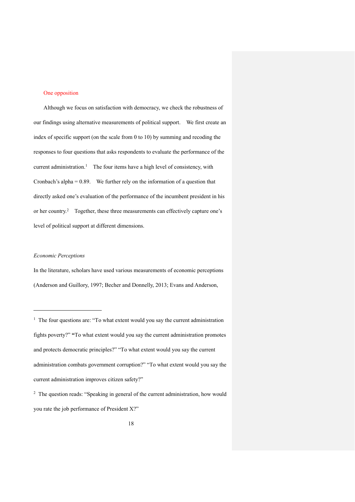#### One opposition

Although we focus on satisfaction with democracy, we check the robustness of our findings using alternative measurements of political support. We first create an index of specific support (on the scale from 0 to 10) by summing and recoding the responses to four questions that asks respondents to evaluate the performance of the current administration.<sup>1</sup> The four items have a high level of consistency, with Cronbach's alpha = 0.89. We further rely on the information of a question that directly asked one's evaluation of the performance of the incumbent president in his or her country.<sup>2</sup> Together, these three measurements can effectively capture one's level of political support at different dimensions.

#### *Economic Perceptions*

 $\overline{a}$ 

In the literature, scholars have used various measurements of economic perceptions (Anderson and Guillory, 1997; Becher and Donnelly, 2013; Evans and Anderson,

<sup>&</sup>lt;sup>1</sup> The four questions are: "To what extent would you say the current administration fights poverty?" **"**To what extent would you say the current administration promotes and protects democratic principles?" "To what extent would you say the current administration combats government corruption?" "To what extent would you say the current administration improves citizen safety?"

<sup>&</sup>lt;sup>2</sup> The question reads: "Speaking in general of the current administration, how would you rate the job performance of President X?"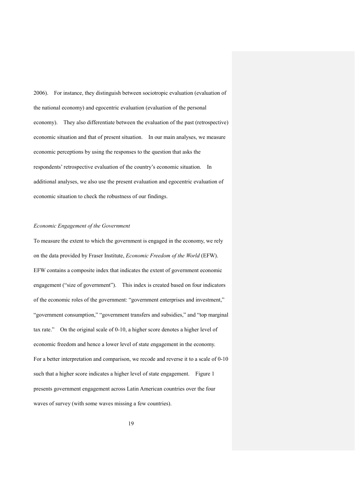2006). For instance, they distinguish between sociotropic evaluation (evaluation of the national economy) and egocentric evaluation (evaluation of the personal economy). They also differentiate between the evaluation of the past (retrospective) economic situation and that of present situation. In our main analyses, we measure economic perceptions by using the responses to the question that asks the respondents' retrospective evaluation of the country's economic situation. In additional analyses, we also use the present evaluation and egocentric evaluation of economic situation to check the robustness of our findings.

## *Economic Engagement of the Government*

To measure the extent to which the government is engaged in the economy, we rely on the data provided by Fraser Institute, *Economic Freedom of the World* (EFW). EFW contains a composite index that indicates the extent of government economic engagement ("size of government"). This index is created based on four indicators of the economic roles of the government: "government enterprises and investment," "government consumption," "government transfers and subsidies," and "top marginal tax rate." On the original scale of 0-10, a higher score denotes a higher level of economic freedom and hence a lower level of state engagement in the economy. For a better interpretation and comparison, we recode and reverse it to a scale of 0-10 such that a higher score indicates a higher level of state engagement. Figure 1 presents government engagement across Latin American countries over the four waves of survey (with some waves missing a few countries).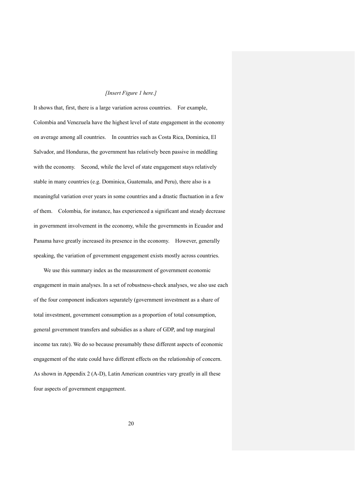#### *[Insert Figure 1 here.]*

It shows that, first, there is a large variation across countries. For example, Colombia and Venezuela have the highest level of state engagement in the economy on average among all countries. In countries such as Costa Rica, Dominica, El Salvador, and Honduras, the government has relatively been passive in meddling with the economy. Second, while the level of state engagement stays relatively stable in many countries (e.g. Dominica, Guatemala, and Peru), there also is a meaningful variation over years in some countries and a drastic fluctuation in a few of them. Colombia, for instance, has experienced a significant and steady decrease in government involvement in the economy, while the governments in Ecuador and Panama have greatly increased its presence in the economy. However, generally speaking, the variation of government engagement exists mostly across countries.

We use this summary index as the measurement of government economic engagement in main analyses. In a set of robustness-check analyses, we also use each of the four component indicators separately (government investment as a share of total investment, government consumption as a proportion of total consumption, general government transfers and subsidies as a share of GDP, and top marginal income tax rate). We do so because presumably these different aspects of economic engagement of the state could have different effects on the relationship of concern. As shown in Appendix 2 (A-D), Latin American countries vary greatly in all these four aspects of government engagement.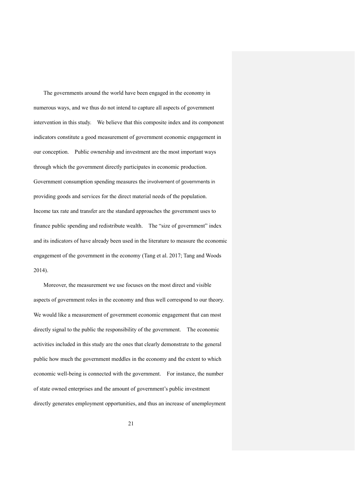The governments around the world have been engaged in the economy in numerous ways, and we thus do not intend to capture all aspects of government intervention in this study. We believe that this composite index and its component indicators constitute a good measurement of government economic engagement in our conception. Public ownership and investment are the most important ways through which the government directly participates in economic production. Government consumption spending measures the involvement of governments in providing goods and services for the direct material needs of the population. Income tax rate and transfer are the standard approaches the government uses to finance public spending and redistribute wealth. The "size of government" index and its indicators of have already been used in the literature to measure the economic engagement of the government in the economy (Tang et al. 2017; Tang and Woods 2014).

Moreover, the measurement we use focuses on the most direct and visible aspects of government roles in the economy and thus well correspond to our theory. We would like a measurement of government economic engagement that can most directly signal to the public the responsibility of the government. The economic activities included in this study are the ones that clearly demonstrate to the general public how much the government meddles in the economy and the extent to which economic well-being is connected with the government. For instance, the number of state owned enterprises and the amount of government's public investment directly generates employment opportunities, and thus an increase of unemployment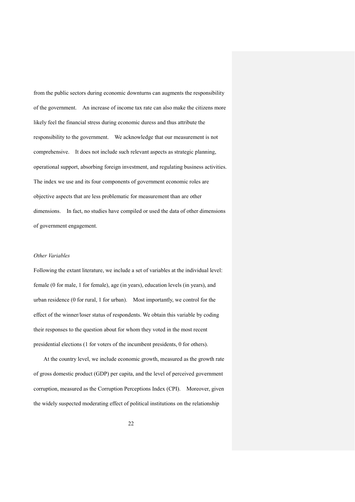from the public sectors during economic downturns can augments the responsibility of the government. An increase of income tax rate can also make the citizens more likely feel the financial stress during economic duress and thus attribute the responsibility to the government. We acknowledge that our measurement is not comprehensive. It does not include such relevant aspects as strategic planning, operational support, absorbing foreign investment, and regulating business activities. The index we use and its four components of government economic roles are objective aspects that are less problematic for measurement than are other dimensions. In fact, no studies have compiled or used the data of other dimensions of government engagement.

#### *Other Variables*

Following the extant literature, we include a set of variables at the individual level: female (0 for male, 1 for female), age (in years), education levels (in years), and urban residence (0 for rural, 1 for urban). Most importantly, we control for the effect of the winner/loser status of respondents. We obtain this variable by coding their responses to the question about for whom they voted in the most recent presidential elections (1 for voters of the incumbent presidents, 0 for others).

At the country level, we include economic growth, measured as the growth rate of gross domestic product (GDP) per capita, and the level of perceived government corruption, measured as the Corruption Perceptions Index (CPI). Moreover, given the widely suspected moderating effect of political institutions on the relationship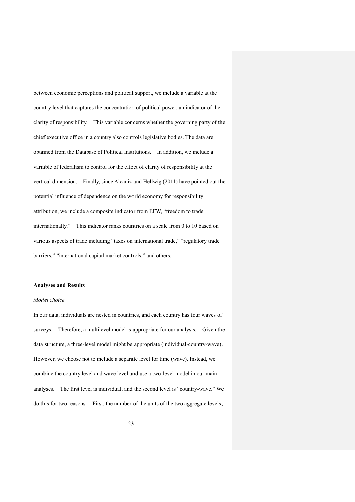between economic perceptions and political support, we include a variable at the country level that captures the concentration of political power, an indicator of the clarity of responsibility. This variable concerns whether the governing party of the chief executive office in a country also controls legislative bodies. The data are obtained from the Database of Political Institutions. In addition, we include a variable of federalism to control for the effect of clarity of responsibility at the vertical dimension. Finally, since Alcañiz and Hellwig (2011) have pointed out the potential influence of dependence on the world economy for responsibility attribution, we include a composite indicator from EFW, "freedom to trade internationally." This indicator ranks countries on a scale from 0 to 10 based on various aspects of trade including "taxes on international trade," "regulatory trade barriers," "international capital market controls," and others.

#### **Analyses and Results**

## *Model choice*

In our data, individuals are nested in countries, and each country has four waves of surveys. Therefore, a multilevel model is appropriate for our analysis. Given the data structure, a three-level model might be appropriate (individual-country-wave). However, we choose not to include a separate level for time (wave). Instead, we combine the country level and wave level and use a two-level model in our main analyses. The first level is individual, and the second level is "country-wave." We do this for two reasons. First, the number of the units of the two aggregate levels,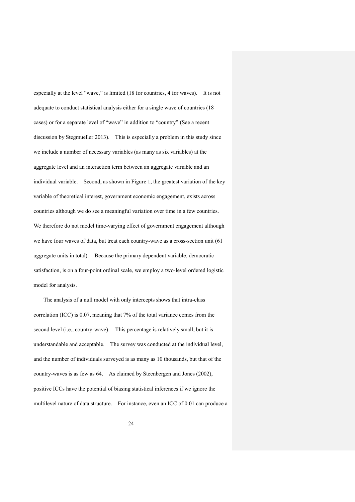especially at the level "wave," is limited (18 for countries, 4 for waves). It is not adequate to conduct statistical analysis either for a single wave of countries (18 cases) or for a separate level of "wave" in addition to "country" (See a recent discussion by Stegmueller 2013). This is especially a problem in this study since we include a number of necessary variables (as many as six variables) at the aggregate level and an interaction term between an aggregate variable and an individual variable. Second, as shown in Figure 1, the greatest variation of the key variable of theoretical interest, government economic engagement, exists across countries although we do see a meaningful variation over time in a few countries. We therefore do not model time-varying effect of government engagement although we have four waves of data, but treat each country-wave as a cross-section unit (61 aggregate units in total). Because the primary dependent variable, democratic satisfaction, is on a four-point ordinal scale, we employ a two-level ordered logistic model for analysis.

The analysis of a null model with only intercepts shows that intra-class correlation (ICC) is 0.07, meaning that 7% of the total variance comes from the second level (i.e., country-wave). This percentage is relatively small, but it is understandable and acceptable. The survey was conducted at the individual level, and the number of individuals surveyed is as many as 10 thousands, but that of the country-waves is as few as 64. As claimed by Steenbergen and Jones (2002), positive ICCs have the potential of biasing statistical inferences if we ignore the multilevel nature of data structure. For instance, even an ICC of 0.01 can produce a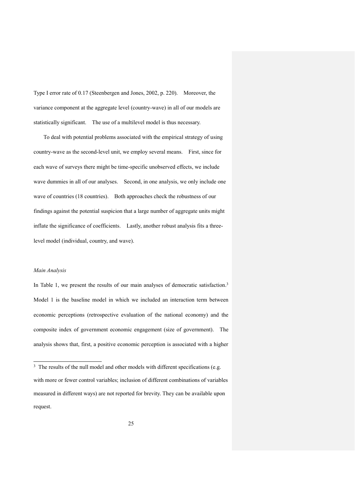Type I error rate of 0.17 (Steenbergen and Jones, 2002, p. 220). Moreover, the variance component at the aggregate level (country-wave) in all of our models are statistically significant. The use of a multilevel model is thus necessary.

To deal with potential problems associated with the empirical strategy of using country-wave as the second-level unit, we employ several means. First, since for each wave of surveys there might be time-specific unobserved effects, we include wave dummies in all of our analyses. Second, in one analysis, we only include one wave of countries (18 countries). Both approaches check the robustness of our findings against the potential suspicion that a large number of aggregate units might inflate the significance of coefficients. Lastly, another robust analysis fits a threelevel model (individual, country, and wave).

#### *Main Analysis*

 $\overline{a}$ 

In Table 1, we present the results of our main analyses of democratic satisfaction.<sup>3</sup> Model 1 is the baseline model in which we included an interaction term between economic perceptions (retrospective evaluation of the national economy) and the composite index of government economic engagement (size of government). The analysis shows that, first, a positive economic perception is associated with a higher

<sup>&</sup>lt;sup>3</sup> The results of the null model and other models with different specifications (e.g. with more or fewer control variables; inclusion of different combinations of variables measured in different ways) are not reported for brevity. They can be available upon request.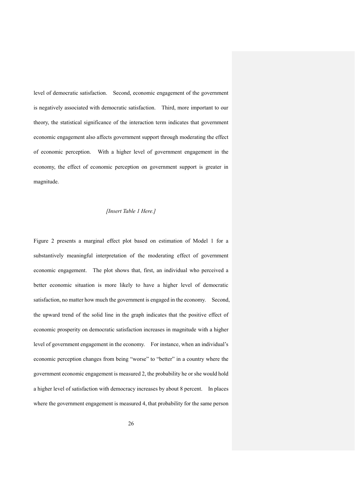level of democratic satisfaction. Second, economic engagement of the government is negatively associated with democratic satisfaction. Third, more important to our theory, the statistical significance of the interaction term indicates that government economic engagement also affects government support through moderating the effect of economic perception. With a higher level of government engagement in the economy, the effect of economic perception on government support is greater in magnitude.

### *[Insert Table 1 Here.]*

Figure 2 presents a marginal effect plot based on estimation of Model 1 for a substantively meaningful interpretation of the moderating effect of government economic engagement. The plot shows that, first, an individual who perceived a better economic situation is more likely to have a higher level of democratic satisfaction, no matter how much the government is engaged in the economy. Second, the upward trend of the solid line in the graph indicates that the positive effect of economic prosperity on democratic satisfaction increases in magnitude with a higher level of government engagement in the economy. For instance, when an individual's economic perception changes from being "worse" to "better" in a country where the government economic engagement is measured 2, the probability he or she would hold a higher level of satisfaction with democracy increases by about 8 percent. In places where the government engagement is measured 4, that probability for the same person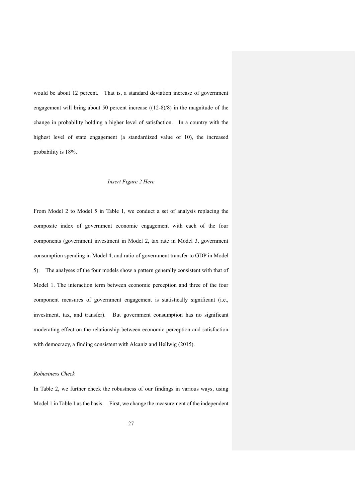would be about 12 percent. That is, a standard deviation increase of government engagement will bring about 50 percent increase ((12-8)/8) in the magnitude of the change in probability holding a higher level of satisfaction. In a country with the highest level of state engagement (a standardized value of 10), the increased probability is 18%.

#### *Insert Figure 2 Here*

From Model 2 to Model 5 in Table 1, we conduct a set of analysis replacing the composite index of government economic engagement with each of the four components (government investment in Model 2, tax rate in Model 3, government consumption spending in Model 4, and ratio of government transfer to GDP in Model 5). The analyses of the four models show a pattern generally consistent with that of Model 1. The interaction term between economic perception and three of the four component measures of government engagement is statistically significant (i.e., investment, tax, and transfer). But government consumption has no significant moderating effect on the relationship between economic perception and satisfaction with democracy, a finding consistent with Alcaniz and Hellwig (2015).

#### *Robustness Check*

In Table 2, we further check the robustness of our findings in various ways, using Model 1 in Table 1 as the basis. First, we change the measurement of the independent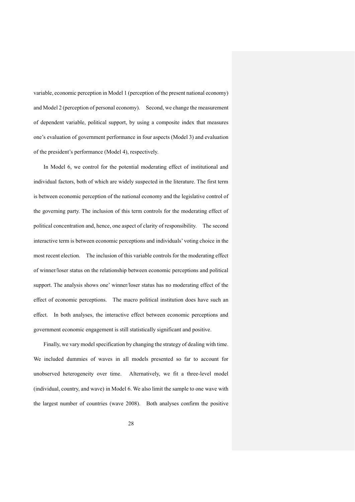variable, economic perception in Model 1 (perception of the present national economy) and Model 2 (perception of personal economy). Second, we change the measurement of dependent variable, political support, by using a composite index that measures one's evaluation of government performance in four aspects (Model 3) and evaluation of the president's performance (Model 4), respectively.

In Model 6, we control for the potential moderating effect of institutional and individual factors, both of which are widely suspected in the literature. The first term is between economic perception of the national economy and the legislative control of the governing party. The inclusion of this term controls for the moderating effect of political concentration and, hence, one aspect of clarity of responsibility. The second interactive term is between economic perceptions and individuals' voting choice in the most recent election. The inclusion of this variable controls for the moderating effect of winner/loser status on the relationship between economic perceptions and political support. The analysis shows one' winner/loser status has no moderating effect of the effect of economic perceptions. The macro political institution does have such an effect. In both analyses, the interactive effect between economic perceptions and government economic engagement is still statistically significant and positive.

Finally, we vary model specification by changing the strategy of dealing with time. We included dummies of waves in all models presented so far to account for unobserved heterogeneity over time. Alternatively, we fit a three-level model (individual, country, and wave) in Model 6. We also limit the sample to one wave with the largest number of countries (wave 2008). Both analyses confirm the positive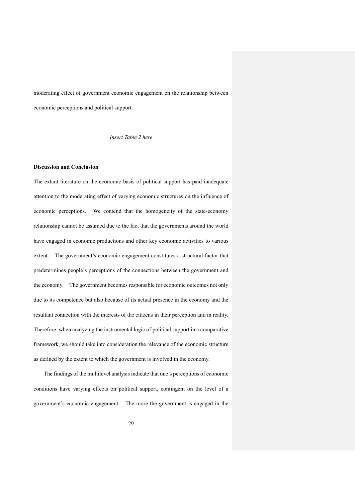moderating effect of government economic engagement on the relationship between economic perceptions and political support.

*Insert Table 2 here*

## **Discussion and Conclusion**

The extant literature on the economic basis of political support has paid inadequate attention to the moderating effect of varying economic structures on the influence of economic perceptions. We contend that the homogeneity of the state-economy relationship cannot be assumed due to the fact that the governments around the world have engaged in economic productions and other key economic activities to various extent. The government's economic engagement constitutes a structural factor that predetermines people's perceptions of the connections between the government and the economy. The government becomes responsible for economic outcomes not only due to its competence but also because of its actual presence in the economy and the resultant connection with the interests of the citizens in their perception and in reality. Therefore, when analyzing the instrumental logic of political support in a comparative framework, we should take into consideration the relevance of the economic structure as defined by the extent to which the government is involved in the economy.

The findings of the multilevel analysis indicate that one's perceptions of economic conditions have varying effects on political support, contingent on the level of a government's economic engagement. The more the government is engaged in the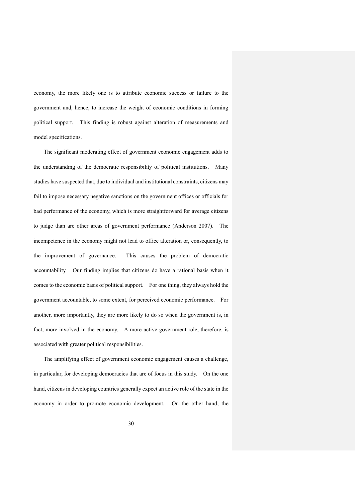economy, the more likely one is to attribute economic success or failure to the government and, hence, to increase the weight of economic conditions in forming political support. This finding is robust against alteration of measurements and model specifications.

The significant moderating effect of government economic engagement adds to the understanding of the democratic responsibility of political institutions. Many studies have suspected that, due to individual and institutional constraints, citizens may fail to impose necessary negative sanctions on the government offices or officials for bad performance of the economy, which is more straightforward for average citizens to judge than are other areas of government performance (Anderson 2007). The incompetence in the economy might not lead to office alteration or, consequently, to the improvement of governance. This causes the problem of democratic accountability. Our finding implies that citizens do have a rational basis when it comes to the economic basis of political support. For one thing, they always hold the government accountable, to some extent, for perceived economic performance. For another, more importantly, they are more likely to do so when the government is, in fact, more involved in the economy. A more active government role, therefore, is associated with greater political responsibilities.

The amplifying effect of government economic engagement causes a challenge, in particular, for developing democracies that are of focus in this study. On the one hand, citizens in developing countries generally expect an active role of the state in the economy in order to promote economic development. On the other hand, the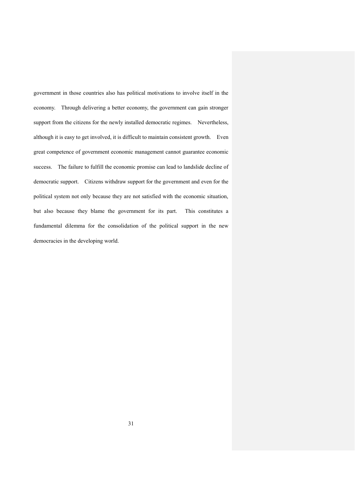government in those countries also has political motivations to involve itself in the economy. Through delivering a better economy, the government can gain stronger support from the citizens for the newly installed democratic regimes. Nevertheless, although it is easy to get involved, it is difficult to maintain consistent growth. Even great competence of government economic management cannot guarantee economic success. The failure to fulfill the economic promise can lead to landslide decline of democratic support. Citizens withdraw support for the government and even for the political system not only because they are not satisfied with the economic situation, but also because they blame the government for its part. This constitutes a fundamental dilemma for the consolidation of the political support in the new democracies in the developing world.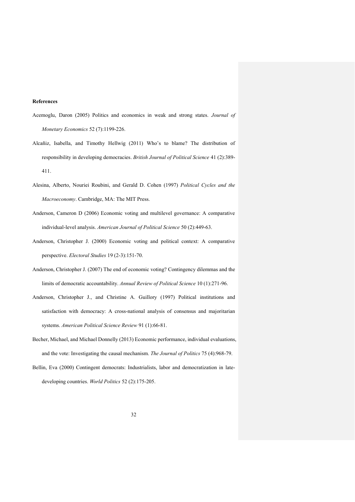#### **References**

- Acemoglu, Daron (2005) Politics and economics in weak and strong states. *Journal of Monetary Economics* 52 (7):1199-226.
- Alcañiz, Isabella, and Timothy Hellwig (2011) Who's to blame? The distribution of responsibility in developing democracies. *British Journal of Political Science* 41 (2):389- 411.
- Alesina, Alberto, Nouriei Roubini, and Gerald D. Cohen (1997) *Political Cycles and the Macroeconomy*. Cambridge, MA: The MIT Press.
- Anderson, Cameron D (2006) Economic voting and multilevel governance: A comparative individual-level analysis. *American Journal of Political Science* 50 (2):449-63.
- Anderson, Christopher J. (2000) Economic voting and political context: A comparative perspective. *Electoral Studies* 19 (2-3):151-70.
- Anderson, Christopher J. (2007) The end of economic voting? Contingency dilemmas and the limits of democratic accountability. *Annual Review of Political Science* 10 (1):271-96.
- Anderson, Christopher J., and Christine A. Guillory (1997) Political institutions and satisfaction with democracy: A cross-national analysis of consensus and majoritarian systems. *American Political Science Review* 91 (1):66-81.
- Becher, Michael, and Michael Donnelly (2013) Economic performance, individual evaluations, and the vote: Investigating the causal mechanism. *The Journal of Politics* 75 (4):968-79.
- Bellin, Eva (2000) Contingent democrats: Industrialists, labor and democratization in latedeveloping countries. *World Politics* 52 (2):175-205.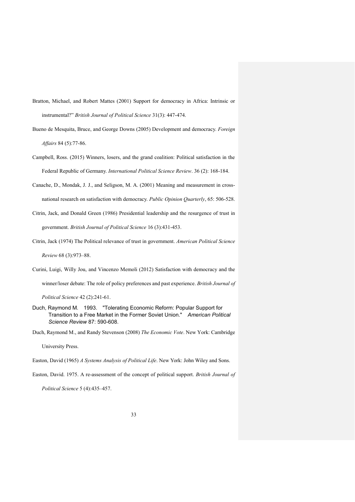- Bratton, Michael, and Robert Mattes (2001) Support for democracy in Africa: Intrinsic or instrumental?" *British Journal of Political Science* 31(3): 447-474.
- Bueno de Mesquita, Bruce, and George Downs (2005) Development and democracy. *Foreign Affairs* 84 (5):77-86.
- Campbell, Ross. (2015) Winners, losers, and the grand coalition: Political satisfaction in the Federal Republic of Germany. *International Political Science Review*. 36 (2): 168-184.
- Canache, D., Mondak, J. J., and Seligson, M. A. (2001) Meaning and measurement in crossnational research on satisfaction with democracy. *Public Opinion Quarterly*, 65: 506-528.
- Citrin, Jack, and Donald Green (1986) Presidential leadership and the resurgence of trust in government. *British Journal of Political Science* 16 (3):431-453.
- Citrin, Jack (1974) The Political relevance of trust in government. *American Political Science Review* 68 (3):973–88.
- Curini, Luigi, Willy Jou, and Vincenzo Memoli (2012) Satisfaction with democracy and the winner/loser debate: The role of policy preferences and past experience. *British Journal of*

*Political Science* 42 (2):241-61.

Duch, Raymond M. 1993. "Tolerating Economic Reform: Popular Support for Transition to a Free Market in the Former Soviet Union." *American Political Science Review* 87: 590-608.

Duch, Raymond M., and Randy Stevenson (2008) *The Economic Vote*. New York: Cambridge

University Press.

Easton, David (1965) *A Systems Analysis of Political Life*. New York: John Wiley and Sons.

Easton, David. 1975. A re-assessment of the concept of political support. *British Journal of* 

*Political Science* 5 (4):435–457.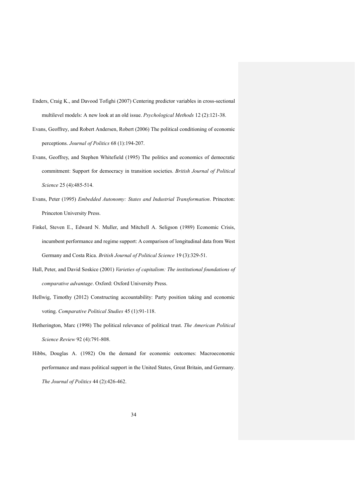- Enders, Craig K., and Davood Tofighi (2007) Centering predictor variables in cross-sectional multilevel models: A new look at an old issue. *Psychological Methods* 12 (2):121-38.
- Evans, Geoffrey, and Robert Andersen, Robert (2006) The political conditioning of economic perceptions. *Journal of Politics* 68 (1):194-207.
- Evans, Geoffrey, and Stephen Whitefield (1995) The politics and economics of democratic commitment: Support for democracy in transition societies. *British Journal of Political Science* 25 (4):485-514.
- Evans, Peter (1995) *Embedded Autonomy: States and Industrial Transformation*. Princeton: Princeton University Press.
- Finkel, Steven E., Edward N. Muller, and Mitchell A. Seligson (1989) Economic Crisis, incumbent performance and regime support: A comparison of longitudinal data from West Germany and Costa Rica. *British Journal of Political Science* 19 (3):329-51.
- Hall, Peter, and David Soskice (2001) *Varieties of capitalism: The institutional foundations of comparative advantage*. Oxford: Oxford University Press.
- Hellwig, Timothy (2012) Constructing accountability: Party position taking and economic voting. *Comparative Political Studies* 45 (1):91-118.
- Hetherington, Marc (1998) The political relevance of political trust. *The American Political Science Review* 92 (4):791-808.
- Hibbs, Douglas A. (1982) On the demand for economic outcomes: Macroeconomic performance and mass political support in the United States, Great Britain, and Germany. *The Journal of Politics* 44 (2):426-462.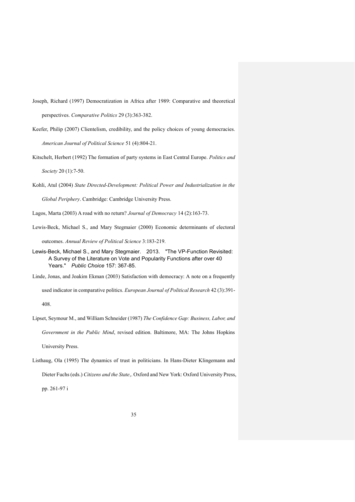- Joseph, Richard (1997) Democratization in Africa after 1989: Comparative and theoretical perspectives. *Comparative Politics* 29 (3):363-382.
- Keefer, Philip (2007) Clientelism, credibility, and the policy choices of young democracies. *American Journal of Political Science* 51 (4):804-21.

Kitschelt, Herbert (1992) The formation of party systems in East Central Europe. *Politics and* 

*Society* 20 (1):7-50.

Kohli, Atul (2004) *State Directed-Development: Political Power and Industrialization in the* 

*Global Periphery*. Cambridge: Cambridge University Press.

- Lagos, Marta (2003) A road with no return? *Journal of Democracy* 14 (2):163-73.
- Lewis-Beck, Michael S., and Mary Stegmaier (2000) Economic determinants of electoral

outcomes. *Annual Review of Political Science* 3:183-219.

- Lewis-Beck, Michael S., and Mary Stegmaier. 2013. "The VP-Function Revisited: A Survey of the Literature on Vote and Popularity Functions after over 40 Years." *Public Choice* 157: 367-85.
- Linde, Jonas, and Joakim Ekman (2003) Satisfaction with democracy: A note on a frequently used indicator in comparative politics. *European Journal of Political Research* 42 (3):391- 408.
- Lipset, Seymour M., and William Schneider (1987) *The Confidence Gap: Business, Labor, and Government in the Public Mind*, revised edition. Baltimore, MA: The Johns Hopkins University Press.
- Listhaug, Ola (1995) The dynamics of trust in politicians. In Hans-Dieter Klingemann and Dieter Fuchs (eds.) *Citizens and the State*,. Oxford and New York: Oxford University Press, pp. 261-97 i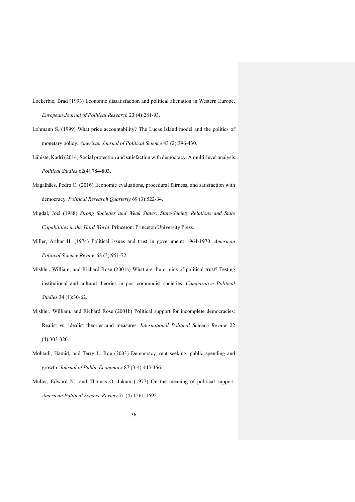- Lockerbie, Brad (1993) Economic dissatisfaction and political alienation in Western Europe. *European Journal of Political Research* 23 (4):281-93.
- Lohmann S. (1999) What price accountability? The Lucas Island model and the politics of monetary policy. *American Journal of Political Science* 43 (2):396-430.
- Lühiste, Kadri (2014) Social protection and satisfaction with democracy: A multi-level analysis. *Political Studies* 62(4):784-803.
- Magalhães, Pedro C. (2016) Economic evaluations, procedural fairness, and satisfaction with democracy. *Political Research Quarterly* 69 (3):522-34.
- Migdal, Joel (1988) *Strong Societies and Weak States: State-Society Relations and State Capabilities in the Third World*. Princeton: Princeton University Press.
- Miller, Arthur H. (1974) Political issues and trust in government: 1964-1970. *American Political Science Review* 68 (3):951-72.
- Mishler, William, and Richard Rose (2001a) What are the origins of political trust? Testing institutional and cultural theories in post-communist societies. *Comparative Political Studies* 34 (1):30-62.
- Mishler, William, and Richard Rose (2001b) Political support for incomplete democracies: Realist vs. idealist theories and measures. *International Political Science Review* 22 (4):303-320.
- Mohtadi, Hamid, and Terry L. Roe (2003) Democracy, rent seeking, public spending and growth. *Journal of Public Economics* 87 (3-4):445-466.
- Muller, Edward N., and Thomas O. Jukam (1977) On the meaning of political support. *American Political Science Review* 71 (4):1561-1595.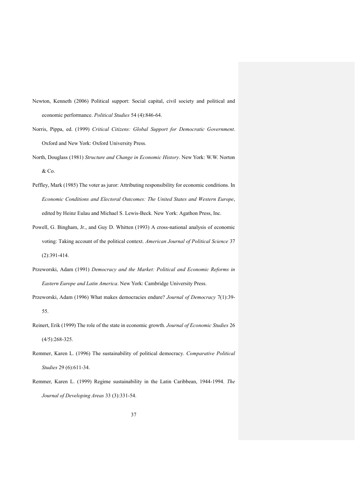- Newton, Kenneth (2006) Political support: Social capital, civil society and political and economic performance. *Political Studies* 54 (4):846-64.
- Norris, Pippa, ed. (1999) *Critical Citizens: Global Support for Democratic Government*. Oxford and New York: Oxford University Press.
- North, Douglass (1981) *Structure and Change in Economic History*. New York: W.W. Norton & Co.
- Peffley, Mark (1985) The voter as juror: Attributing responsibility for economic conditions. In *Economic Conditions and Electoral Outcomes: The United States and Western Europe*, edited by Heinz Eulau and Michael S. Lewis-Beck. New York: Agathon Press, Inc.
- Powell, G. Bingham, Jr., and Guy D. Whitten (1993) A cross-national analysis of economic voting: Taking account of the political context. *American Journal of Political Science* 37 (2):391-414.
- Przeworski, Adam (1991) *Democracy and the Market: Political and Economic Reforms in Eastern Europe and Latin America*. New York: Cambridge University Press.
- Przeworski, Adam (1996) What makes democracies endure? *Journal of Democracy* 7(1):39- 55.
- Reinert, Erik (1999) The role of the state in economic growth. *Journal of Economic Studies* 26 (4/5):268-325.
- Remmer, Karen L. (1996) The sustainability of political democracy. *Comparative Political Studies* 29 (6):611-34.
- Remmer, Karen L. (1999) Regime sustainability in the Latin Caribbean, 1944-1994. *The Journal of Developing Areas* 33 (3):331-54.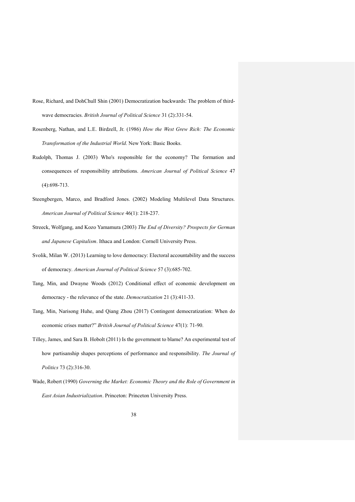- Rose, Richard, and DohChull Shin (2001) Democratization backwards: The problem of thirdwave democracies. *British Journal of Political Science* 31 (2):331-54.
- Rosenberg, Nathan, and L.E. Birdzell, Jr. (1986) *How the West Grew Rich: The Economic Transformation of the Industrial World*. New York: Basic Books.
- Rudolph, Thomas J. (2003) Who's responsible for the economy? The formation and consequences of responsibility attributions. *American Journal of Political Science* 47 (4):698-713.
- Steengbergen, Marco, and Bradford Jones. (2002) Modeling Multilevel Data Structures. *American Journal of Political Science* 46(1): 218-237.
- Streeck, Wolfgang, and Kozo Yamamura (2003) *The End of Diversity? Prospects for German and Japanese Capitalism*. Ithaca and London: Cornell University Press.
- Svolik, Milan W. (2013) Learning to love democracy: Electoral accountability and the success of democracy. *American Journal of Political Science* 57 (3):685-702.
- Tang, Min, and Dwayne Woods (2012) Conditional effect of economic development on democracy - the relevance of the state. *Democratization* 21 (3):411-33.
- Tang, Min, Narisong Huhe, and Qiang Zhou (2017) Contingent democratization: When do economic crises matter?" *British Journal of Political Science* 47(1): 71-90.
- Tilley, James, and Sara B. Hobolt (2011) Is the government to blame? An experimental test of how partisanship shapes perceptions of performance and responsibility. *The Journal of Politics* 73 (2):316-30.
- Wade, Robert (1990) *Governing the Market: Economic Theory and the Role of Government in East Asian Industrialization*. Princeton: Princeton University Press.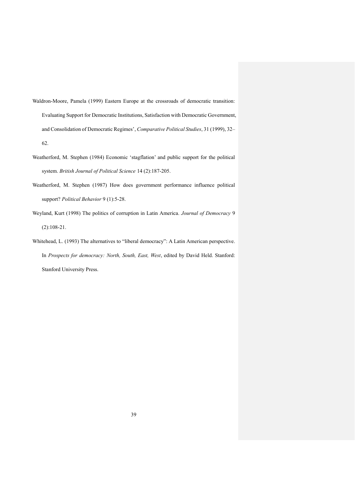- Waldron-Moore, Pamela (1999) Eastern Europe at the crossroads of democratic transition: Evaluating Support for Democratic Institutions, Satisfaction with Democratic Government, and Consolidation of Democratic Regimes', *Comparative Political Studies*, 31 (1999), 32– 62.
- Weatherford, M. Stephen (1984) Economic 'stagflation' and public support for the political system. *British Journal of Political Science* 14 (2):187-205.
- Weatherford, M. Stephen (1987) How does government performance influence political support? *Political Behavior* 9 (1):5-28.
- Weyland, Kurt (1998) The politics of corruption in Latin America. *Journal of Democracy* 9 (2):108-21.
- Whitehead, L. (1993) The alternatives to "liberal democracy": A Latin American perspective. In *Prospects for democracy: North, South, East, West*, edited by David Held. Stanford: Stanford University Press.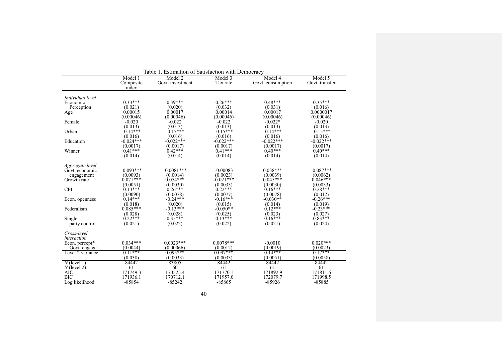| Table 1. Estimation of Satisfaction with Democracy |             |                    |              |                              |                |  |  |  |
|----------------------------------------------------|-------------|--------------------|--------------|------------------------------|----------------|--|--|--|
|                                                    | Model 1     | Model 3<br>Model 2 |              |                              | Model 5        |  |  |  |
|                                                    | Composite   | Govt. investment   | Tax rate     | Model 4<br>Govt. consumption | Govt. transfer |  |  |  |
|                                                    | index       |                    |              |                              |                |  |  |  |
|                                                    |             |                    |              |                              |                |  |  |  |
| Individual level                                   |             |                    |              |                              |                |  |  |  |
| Economic                                           | $0.33***$   | $0.39***$          | $0.26***$    | $0.48***$                    | $0.35***$      |  |  |  |
| Perception                                         | (0.021)     | (0.020)            | (0.032)      | (0.031)                      | (0.016)        |  |  |  |
| Age                                                | 0.00015     | 0.00017            | 0.00014      | 0.00017                      | 0.0000017      |  |  |  |
|                                                    | (0.00046)   | (0.00046)          | (0.00046)    | (0.00046)                    | (0.00046)      |  |  |  |
| Female                                             | $-0.020$    | $-0.022$           | $-0.022$     | $-0.022*$                    | $-0.020$       |  |  |  |
|                                                    | (0.013)     | (0.013)            | (0.013)      | (0.013)                      | (0.013)        |  |  |  |
| Urban                                              | $-0.14***$  | $-0.15***$         | $-0.15***$   | $-0.14***$                   | $-0.15***$     |  |  |  |
|                                                    | (0.016)     | (0.016)            | (0.016)      | (0.016)                      | (0.016)        |  |  |  |
| Education                                          | $-0.024***$ | $-0.022$ ***       | $-0.022***$  | $-0.022$ ***                 | $-0.022**$     |  |  |  |
|                                                    | (0.0017)    | (0.0017)           | (0.0017)     | (0.0017)                     | (0.0017)       |  |  |  |
| Winner                                             | $0.41***$   | $0.42***$          | $0.41***$    | $0.40***$                    | $0.40***$      |  |  |  |
|                                                    | (0.014)     | (0.014)            | (0.014)      | (0.014)                      | (0.014)        |  |  |  |
|                                                    |             |                    |              |                              |                |  |  |  |
| Aggregate level                                    |             |                    |              |                              |                |  |  |  |
| Govt. economic                                     | $-0.093***$ | $-0.0081$ ***      | $-0.00083$   | $0.038***$                   | $-0.087***$    |  |  |  |
| engagement                                         | (0.0093)    | (0.0014)           | (0.0023)     | (0.0039)                     | (0.0062)       |  |  |  |
| Growth rate                                        | $0.071***$  | $0.054***$         | $-0.021$ *** | $0.045***$                   | $0.046***$     |  |  |  |
|                                                    | (0.0051)    | (0.0030)           | (0.0033)     | (0.0030)                     | (0.0033)       |  |  |  |
| <b>CPI</b>                                         | $0.13***$   | $0.26***$          | $0.22***$    | $0.16***$                    | $0.28***$      |  |  |  |
|                                                    | (0.0090)    | (0.0078)           | (0.0077)     | (0.0078)                     | (0.012)        |  |  |  |
| Econ. openness                                     | $0.14***$   | $-0.24***$         | $-0.16***$   | $-0.030**$                   | $-0.26***$     |  |  |  |
|                                                    | (0.018)     | (0.020)            | (0.015)      | (0.014)                      | (0.019)        |  |  |  |
| Federalism                                         | $0.085***$  | $-0.13***$         | $-0.050**$   | $0.12***$                    | $-0.23***$     |  |  |  |
|                                                    | (0.028)     | (0.028)            | (0.025)      | (0.023)                      | (0.027)        |  |  |  |
| Single                                             | $0.22***$   | $0.35***$          | $0.13***$    | $0.16***$                    | $0.83***$      |  |  |  |
| party control                                      | (0.021)     | (0.022)            | (0.022)      | (0.021)                      | (0.024)        |  |  |  |
|                                                    |             |                    |              |                              |                |  |  |  |
| Cross-level                                        |             |                    |              |                              |                |  |  |  |
| interaction                                        |             |                    |              |                              |                |  |  |  |
| Econ. percept*                                     | $0.034***$  | $0.0023***$        | $0.0078***$  | $-0.0010$                    | $0.020***$     |  |  |  |
| Govt. engage.                                      | (0.0044)    | (0.00066)          | (0.0012)     | (0.0019)                     | (0.0023)       |  |  |  |
| Level 2 variance                                   | $0.11***$   | $0.095***$         | $0.097***$   | $0.14***$                    | $0.17***$      |  |  |  |
|                                                    | (0.038)     | (0.0033)           | (0.0033)     | (0.0051)                     | (0.0058)       |  |  |  |
| $N$ (level 1)                                      | 84442       | 83805              | 84442        | 84442                        | 84442          |  |  |  |
| $N$ (level 2)                                      | 61          | 60                 | 61           | 61                           | 61             |  |  |  |
| AIC                                                | 171749.3    | 170525.4           | 171770.1     | 171892.9                     | 171811.6       |  |  |  |
| <b>BIC</b>                                         | 171936.1    | 170712.1           | 171957.0     | 172079.7                     | 171998.5       |  |  |  |
| Log likelihood                                     | $-85854$    | $-85242$           | $-85865$     | $-85926$                     | $-85885$       |  |  |  |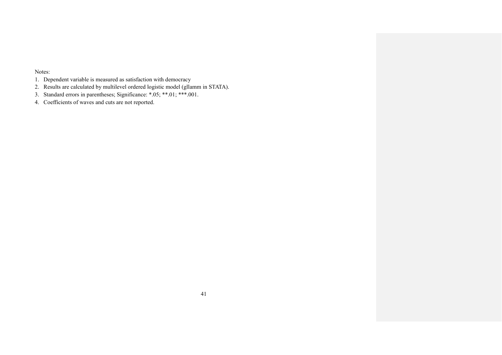Notes:

- 1. Dependent variable is measured as satisfaction with democracy
- 2. Results are calculated by multilevel ordered logistic model (gllamm in STATA).
- 3. Standard errors in parentheses; Significance: \*.05; \*\*.01; \*\*\*.001.
- 4. Coefficients of waves and cuts are not reported.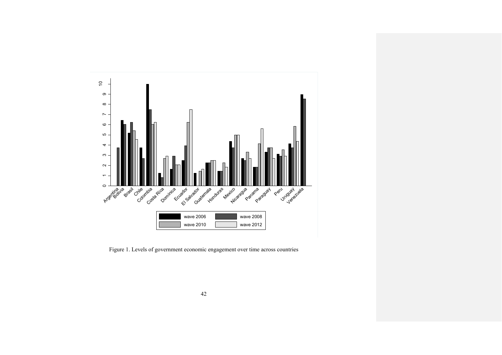

Figure 1. Levels of government economic engagement over time across countries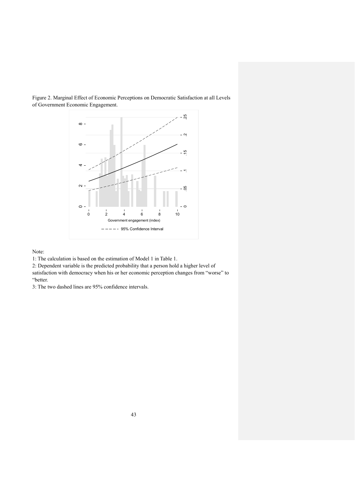

Figure 2. Marginal Effect of Economic Perceptions on Democratic Satisfaction at all Levels of Government Economic Engagement.

Note:

1: The calculation is based on the estimation of Model 1 in Table 1.

2: Dependent variable is the predicted probability that a person hold a higher level of satisfaction with democracy when his or her economic perception changes from "worse" to "better.

3: The two dashed lines are 95% confidence intervals.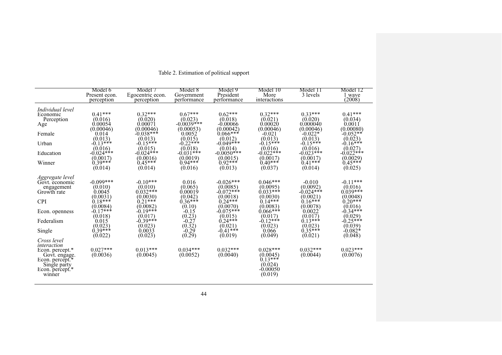|                                                                                                                                                                                                                                                          | Model 6<br>Present econ.<br>perception                                                                                                                               | Model 7<br>Egocentric econ.<br>perception                                                                                                                                 | Model 8<br>Government<br>performance                                                                                                                   | Model 9<br>President<br>performance                                                                                                                                               | Model 10<br>More<br>interactions                                                                                                                                                                                           | Model 11<br>3 levels                                                                                                                                                    | Model 12<br>1 wave<br>(2008)                                                                                                                                                |
|----------------------------------------------------------------------------------------------------------------------------------------------------------------------------------------------------------------------------------------------------------|----------------------------------------------------------------------------------------------------------------------------------------------------------------------|---------------------------------------------------------------------------------------------------------------------------------------------------------------------------|--------------------------------------------------------------------------------------------------------------------------------------------------------|-----------------------------------------------------------------------------------------------------------------------------------------------------------------------------------|----------------------------------------------------------------------------------------------------------------------------------------------------------------------------------------------------------------------------|-------------------------------------------------------------------------------------------------------------------------------------------------------------------------|-----------------------------------------------------------------------------------------------------------------------------------------------------------------------------|
| Individual level<br>Economic<br>Perception<br>Age<br>Female<br>Urban<br>Education<br>Winner                                                                                                                                                              | $0.41***$<br>(0.016)<br>0.00054<br>(0.00046)<br>0.014<br>(0.013)<br>$-0.13***$<br>(0.016)<br>$-0.024$ ***<br>(0.0017)<br>$0.39***$<br>(0.014)                        | $0.32***$<br>(0.020)<br>0.00071<br>(0.00046)<br>$-0.038***$<br>(0.013)<br>$-0.15***$<br>(0.015)<br>$-0.024$ ***<br>(0.0016)<br>$0.45***$<br>(0.014)                       | $0.67***$<br>(0.023)<br>$-0.0039$ ***<br>(0.00053)<br>0.0052<br>(0.015)<br>$-0.22***$<br>(0.018)<br>$-0.031**$<br>(0.0019)<br>$0.94***$<br>(0.016)     | $0.62***$<br>(0.018)<br>-0.00066<br>(0.00042)<br>$0.066***$<br>(0.012)<br>$-0.049$ ***<br>(0.014)<br>$-0.0050$ ***<br>(0.0015)<br>$0.92***$<br>$(0.\overline{0}13)$               | $0.32***$<br>(0.021)<br>0.00020<br>(0.00046)<br>$-0.021$<br>(0.013)<br>$-0.15***$<br>(0.016)<br>$-0.022$ ***<br>(0.0017)<br>$0.40***$<br>(0.037)                                                                           | $0.33***$<br>(0.020)<br>0.000040<br>(0.00046)<br>$-0.022*$<br>(0.013)<br>$-0.15***$<br>(0.016)<br>$-0.023$ ***<br>(0.0017)<br>$0.41***$<br>(0.014)                      | $0.41***$<br>(0.034)<br>0.0011<br>(0.00080)<br>$-0.052**$<br>(0.023)<br>$-0.16***$<br>(0.027)<br>$-0.022$ ***<br>(0.0029)<br>$0.45***$<br>(0.025)                           |
| Aggregate level<br>Govt. economic<br>engagement<br>Growth rate<br><b>CPI</b><br>Econ. openness<br>Federalism<br>Single<br>Cross level<br>interaction<br>Econ. percept.*<br>Govt. engage.<br>Econ. percept.*<br>Single party<br>Econ. percept.*<br>winner | $-0.099***$<br>(0.010)<br>0.0045<br>(0.0031)<br>$0.18***$<br>(0.0084)<br>$-0.17***$<br>(0.018)<br>0.015<br>(0.023)<br>$0.39***$<br>(0.022)<br>$0.027***$<br>(0.0036) | $-0.10***$<br>(0.010)<br>$0.032***$<br>(0.0030)<br>$0.21***$<br>(0.0082)<br>$-0.19***$<br>(0.017)<br>$-0.39***$<br>(0.023)<br>0.0033<br>(0.023)<br>$0.013***$<br>(0.0045) | 0.016<br>(0.065)<br>0.00019<br>(0.042)<br>$0.36***$<br>(0.10)<br>$-0.15$<br>(0.23)<br>$-0.27$<br>(0.32)<br>$-0.29$<br>(0.29)<br>$0.034***$<br>(0.0052) | $-0.026***$<br>(0.0085)<br>$-0.072$ ***<br>(0.0018)<br>$0.24***$<br>(0.0070)<br>$-0.075***$<br>(0.015)<br>$0.24***$<br>(0.021)<br>$-0.41***$<br>(0.019)<br>$0.032***$<br>(0.0040) | $0.046***$<br>(0.0095)<br>$0.033***$<br>(0.0030)<br>$0.14***$<br>(0.0083)<br>$0.066***$<br>(0.017)<br>$-0.12***$<br>(0.023)<br>0.066<br>(0.049)<br>$0.028***$<br>(0.0045)<br>$0.13***$<br>(0.024)<br>$-0.00050$<br>(0.019) | $-0.010$<br>(0.0092)<br>$-0.024***$<br>(0.0021)<br>$0.16***$<br>(0.0078)<br>0.0022<br>(0.017)<br>$0.13***$<br>(0.023)<br>$0.35***$<br>(0.021)<br>$0.032***$<br>(0.0044) | $-0.11***$<br>(0.016)<br>$0.039***$<br>(0.0048)<br>$0.20***$<br>(0.016)<br>$-0.34***$<br>(0.029)<br>$-0.25***$<br>(0.039)<br>$-0.082*$<br>(0.048)<br>$0.023***$<br>(0.0076) |

## Table 2. Estimation of political support

44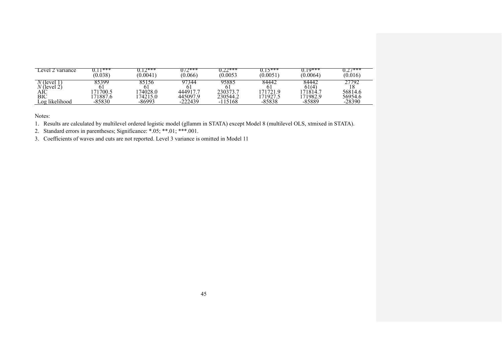| ∟evel 2 variance  | 1***     | つ***     | $072***$  | つつ***    | $15***$ | $10***$        | $77***$  |
|-------------------|----------|----------|-----------|----------|---------|----------------|----------|
|                   | (0.038)  | (0.0041) | (0.066)   | (0.0053  | (0.0051 | (0.0064)       | (0.016)  |
| (level)<br>(level | 95399.   | 85156    | 344       | 95885    | 84442   | 84442<br>61(4) | 792      |
| AIC               | '700.5   | 174028.0 | 444917.   | 230373.7 | 71721.9 | 171814.        | 56814.6  |
| BIC               | 71887.6  | 174215.0 | 445097.9  | 230544.2 | 71927   | 171982.9       | 56954.6  |
| Log likelihood    | $-85830$ | $-86993$ | $-222439$ | -115168  | -85838  | -85889         | $-28390$ |

Notes:

1. Results are calculated by multilevel ordered logistic model (gllamm in STATA) except Model 8 (multilevel OLS, xtmixed in STATA).

2. Standard errors in parentheses; Significance: \*.05; \*\*.01; \*\*\*.001.

3. Coefficients of waves and cuts are not reported. Level 3 variance is omitted in Model 11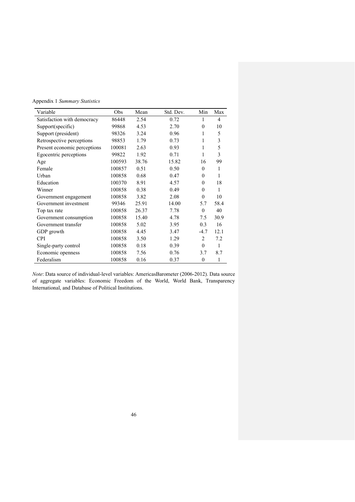Appendix 1 *Summary Statistics*

| Variable                     | Obs    | Mean  | Std. Dev. | Min            | Max  |
|------------------------------|--------|-------|-----------|----------------|------|
| Satisfaction with democracy  | 86448  | 2.54  | 0.72      | 1              | 4    |
| Support(specific)            | 99868  | 4.53  | 2.70      | $\theta$       | 10   |
| Support (president)          | 98326  | 3.24  | 0.96      | 1              | 5    |
| Retrospective perceptions    | 98853  | 1.79  | 0.73      | 1              | 3    |
| Present economic perceptions | 100081 | 2.63  | 0.93      | 1              | 5    |
| Egocentric perceptions       | 99822  | 1.92  | 0.71      | 1              | 3    |
| Age                          | 100593 | 38.76 | 15.82     | 16             | 99   |
| Female                       | 100857 | 0.51  | 0.50      | $\theta$       | 1    |
| Urban                        | 100858 | 0.68  | 0.47      | $\theta$       | 1    |
| Education                    | 100370 | 8.91  | 4.57      | $\theta$       | 18   |
| Winner                       | 100858 | 0.38  | 0.49      | $\theta$       | 1    |
| Government engagement        | 100858 | 3.82  | 2.08      | $\theta$       | 10   |
| Government investment        | 99346  | 25.91 | 14.00     | 5.7            | 58.4 |
| Top tax rate                 | 100858 | 26.37 | 7.78      | $\theta$       | 40   |
| Government consumption       | 100858 | 15.40 | 4.78      | 7.5            | 30.9 |
| Government transfer          | 100858 | 5.02  | 3.95      | 0.3            | 16   |
| GDP growth                   | 100858 | 4.45  | 3.47      | $-4.7$         | 12.1 |
| <b>CPI</b>                   | 100858 | 3.50  | 1.29      | $\overline{c}$ | 7.2  |
| Single-party control         | 100858 | 0.18  | 0.39      | $\theta$       | 1    |
| Economic openness            | 100858 | 7.56  | 0.76      | 3.7            | 8.7  |
| Federalism                   | 100858 | 0.16  | 0.37      | $\overline{0}$ | 1    |

*Note*: Data source of individual-level variables: AmericasBarometer (2006-2012). Data source of aggregate variables: Economic Freedom of the World, World Bank, Transparency International, and Database of Political Institutions.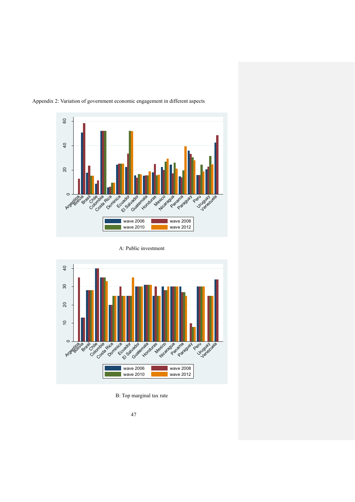

Appendix 2: Variation of government economic engagement in different aspects

A: Public investment



B: Top marginal tax rate